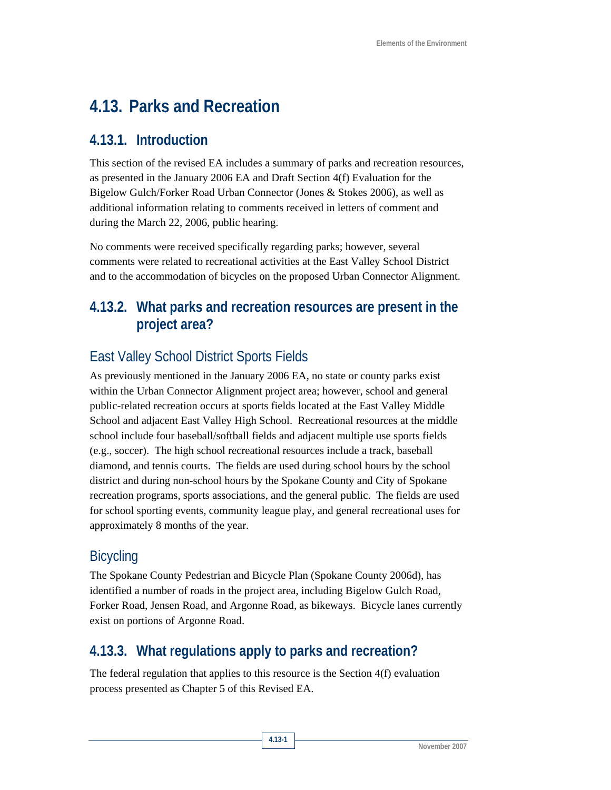# **4.13. Parks and Recreation**

### **4.13.1. Introduction**

This section of the revised EA includes a summary of parks and recreation resources, as presented in the January 2006 EA and Draft Section 4(f) Evaluation for the Bigelow Gulch/Forker Road Urban Connector (Jones & Stokes 2006), as well as additional information relating to comments received in letters of comment and during the March 22, 2006, public hearing.

No comments were received specifically regarding parks; however, several comments were related to recreational activities at the East Valley School District and to the accommodation of bicycles on the proposed Urban Connector Alignment.

## **4.13.2. What parks and recreation resources are present in the project area?**

# East Valley School District Sports Fields

As previously mentioned in the January 2006 EA, no state or county parks exist within the Urban Connector Alignment project area; however, school and general public-related recreation occurs at sports fields located at the East Valley Middle School and adjacent East Valley High School. Recreational resources at the middle school include four baseball/softball fields and adjacent multiple use sports fields (e.g., soccer). The high school recreational resources include a track, baseball diamond, and tennis courts. The fields are used during school hours by the school district and during non-school hours by the Spokane County and City of Spokane recreation programs, sports associations, and the general public. The fields are used for school sporting events, community league play, and general recreational uses for approximately 8 months of the year.

# **Bicycling**

The Spokane County Pedestrian and Bicycle Plan (Spokane County 2006d), has identified a number of roads in the project area, including Bigelow Gulch Road, Forker Road, Jensen Road, and Argonne Road, as bikeways. Bicycle lanes currently exist on portions of Argonne Road.

# **4.13.3. What regulations apply to parks and recreation?**

The federal regulation that applies to this resource is the Section 4(f) evaluation process presented as Chapter 5 of this Revised EA.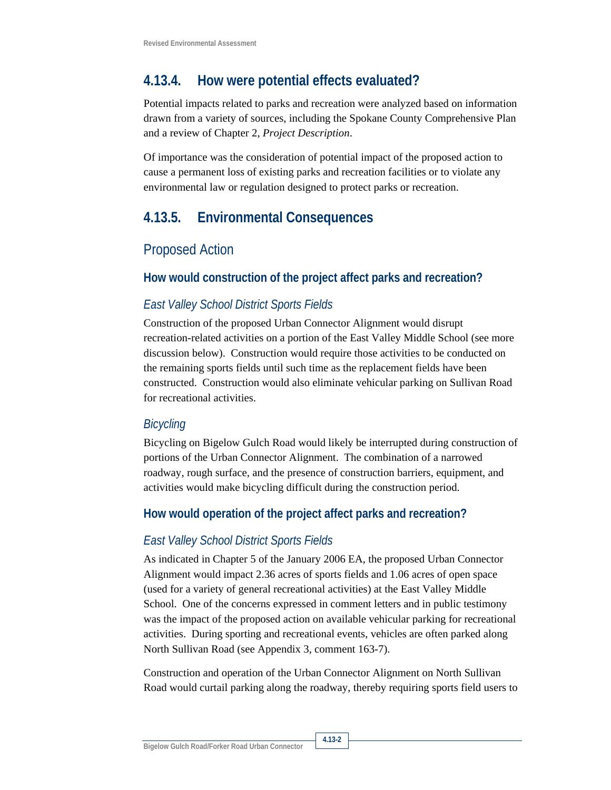### **4.13.4. How were potential effects evaluated?**

Potential impacts related to parks and recreation were analyzed based on information drawn from a variety of sources, including the Spokane County Comprehensive Plan and a review of Chapter 2, *Project Description*.

Of importance was the consideration of potential impact of the proposed action to cause a permanent loss of existing parks and recreation facilities or to violate any environmental law or regulation designed to protect parks or recreation.

### **4.13.5. Environmental Consequences**

#### Proposed Action

#### **How would construction of the project affect parks and recreation?**

#### *East Valley School District Sports Fields*

Construction of the proposed Urban Connector Alignment would disrupt recreation-related activities on a portion of the East Valley Middle School (see more discussion below). Construction would require those activities to be conducted on the remaining sports fields until such time as the replacement fields have been constructed. Construction would also eliminate vehicular parking on Sullivan Road for recreational activities.

#### *Bicycling*

Bicycling on Bigelow Gulch Road would likely be interrupted during construction of portions of the Urban Connector Alignment. The combination of a narrowed roadway, rough surface, and the presence of construction barriers, equipment, and activities would make bicycling difficult during the construction period.

#### **How would operation of the project affect parks and recreation?**

#### *East Valley School District Sports Fields*

As indicated in Chapter 5 of the January 2006 EA, the proposed Urban Connector Alignment would impact 2.36 acres of sports fields and 1.06 acres of open space (used for a variety of general recreational activities) at the East Valley Middle School. One of the concerns expressed in comment letters and in public testimony was the impact of the proposed action on available vehicular parking for recreational activities. During sporting and recreational events, vehicles are often parked along North Sullivan Road (see Appendix 3, comment 163-7).

Construction and operation of the Urban Connector Alignment on North Sullivan Road would curtail parking along the roadway, thereby requiring sports field users to